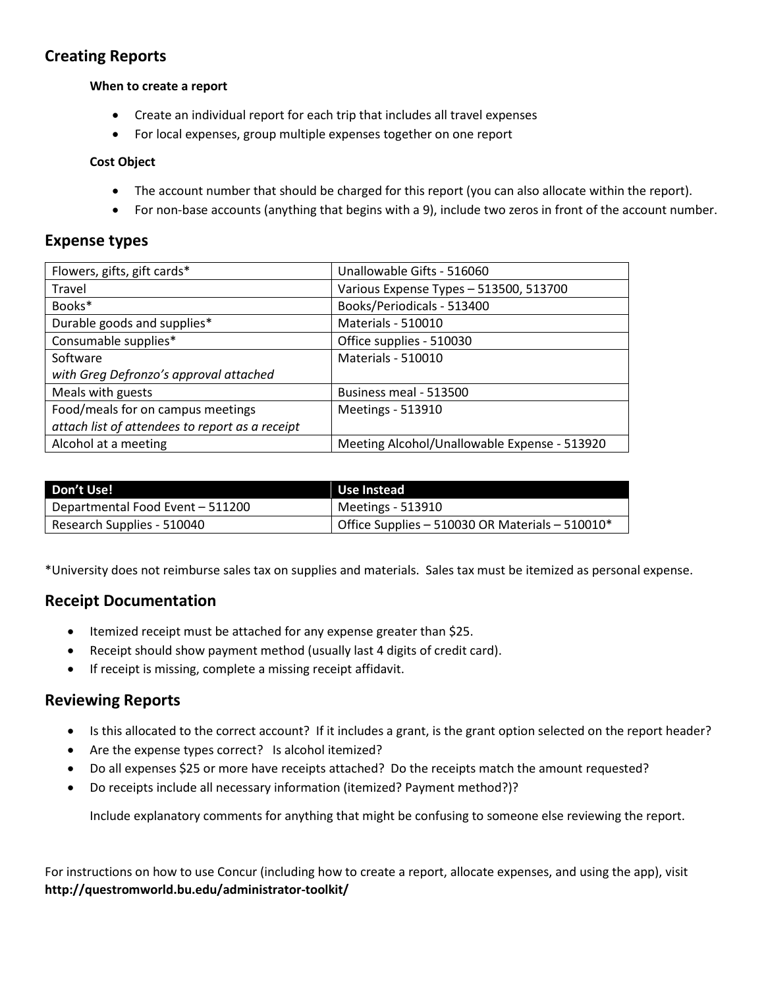## **Creating Reports**

#### **When to create a report**

- Create an individual report for each trip that includes all travel expenses
- For local expenses, group multiple expenses together on one report

#### **Cost Object**

- The account number that should be charged for this report (you can also allocate within the report).
- For non-base accounts (anything that begins with a 9), include two zeros in front of the account number.

### **Expense types**

| Flowers, gifts, gift cards*                     | Unallowable Gifts - 516060                   |  |
|-------------------------------------------------|----------------------------------------------|--|
| Travel                                          | Various Expense Types - 513500, 513700       |  |
| Books*                                          | Books/Periodicals - 513400                   |  |
| Durable goods and supplies*                     | Materials - 510010                           |  |
| Consumable supplies*                            | Office supplies - 510030                     |  |
| Software                                        | Materials - 510010                           |  |
| with Greg Defronzo's approval attached          |                                              |  |
| Meals with guests                               | Business meal - 513500                       |  |
| Food/meals for on campus meetings               | Meetings - 513910                            |  |
| attach list of attendees to report as a receipt |                                              |  |
| Alcohol at a meeting                            | Meeting Alcohol/Unallowable Expense - 513920 |  |

| Don't Use!                       | Use Instead                                       |
|----------------------------------|---------------------------------------------------|
| Departmental Food Event - 511200 | Meetings - 513910                                 |
| Research Supplies - 510040       | Office Supplies $-510030$ OR Materials $-510010*$ |

\*University does not reimburse sales tax on supplies and materials. Sales tax must be itemized as personal expense.

## **Receipt Documentation**

- Itemized receipt must be attached for any expense greater than \$25.
- Receipt should show payment method (usually last 4 digits of credit card).
- If receipt is missing, complete a missing receipt affidavit.

## **Reviewing Reports**

- Is this allocated to the correct account? If it includes a grant, is the grant option selected on the report header?
- Are the expense types correct? Is alcohol itemized?
- Do all expenses \$25 or more have receipts attached? Do the receipts match the amount requested?
- Do receipts include all necessary information (itemized? Payment method?)?

Include explanatory comments for anything that might be confusing to someone else reviewing the report.

For instructions on how to use Concur (including how to create a report, allocate expenses, and using the app), visit **http://questromworld.bu.edu/administrator-toolkit/**